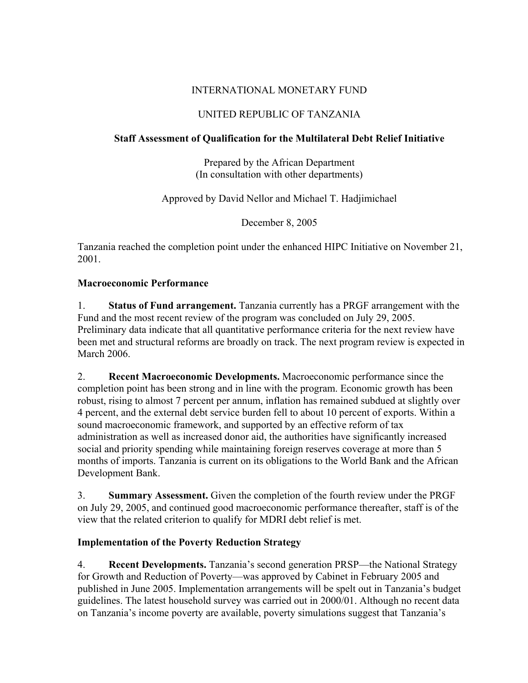## INTERNATIONAL MONETARY FUND

## UNITED REPUBLIC OF TANZANIA

### **Staff Assessment of Qualification for the Multilateral Debt Relief Initiative**

Prepared by the African Department (In consultation with other departments)

Approved by David Nellor and Michael T. Hadjimichael

December 8, 2005

Tanzania reached the completion point under the enhanced HIPC Initiative on November 21, 2001.

#### **Macroeconomic Performance**

1. **Status of Fund arrangement.** Tanzania currently has a PRGF arrangement with the Fund and the most recent review of the program was concluded on July 29, 2005. Preliminary data indicate that all quantitative performance criteria for the next review have been met and structural reforms are broadly on track. The next program review is expected in March 2006.

2. **Recent Macroeconomic Developments.** Macroeconomic performance since the completion point has been strong and in line with the program. Economic growth has been robust, rising to almost 7 percent per annum, inflation has remained subdued at slightly over 4 percent, and the external debt service burden fell to about 10 percent of exports. Within a sound macroeconomic framework, and supported by an effective reform of tax administration as well as increased donor aid, the authorities have significantly increased social and priority spending while maintaining foreign reserves coverage at more than 5 months of imports. Tanzania is current on its obligations to the World Bank and the African Development Bank.

3. **Summary Assessment.** Given the completion of the fourth review under the PRGF on July 29, 2005, and continued good macroeconomic performance thereafter, staff is of the view that the related criterion to qualify for MDRI debt relief is met.

#### **Implementation of the Poverty Reduction Strategy**

4. **Recent Developments.** Tanzania's second generation PRSP—the National Strategy for Growth and Reduction of Poverty—was approved by Cabinet in February 2005 and published in June 2005. Implementation arrangements will be spelt out in Tanzania's budget guidelines. The latest household survey was carried out in 2000/01. Although no recent data on Tanzania's income poverty are available, poverty simulations suggest that Tanzania's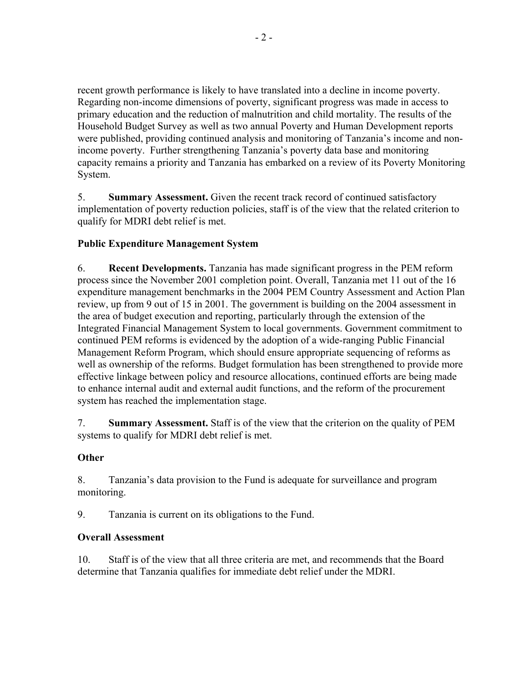recent growth performance is likely to have translated into a decline in income poverty. Regarding non-income dimensions of poverty, significant progress was made in access to primary education and the reduction of malnutrition and child mortality. The results of the Household Budget Survey as well as two annual Poverty and Human Development reports were published, providing continued analysis and monitoring of Tanzania's income and nonincome poverty. Further strengthening Tanzania's poverty data base and monitoring capacity remains a priority and Tanzania has embarked on a review of its Poverty Monitoring System.

5. **Summary Assessment.** Given the recent track record of continued satisfactory implementation of poverty reduction policies, staff is of the view that the related criterion to qualify for MDRI debt relief is met.

# **Public Expenditure Management System**

6. **Recent Developments.** Tanzania has made significant progress in the PEM reform process since the November 2001 completion point. Overall, Tanzania met 11 out of the 16 expenditure management benchmarks in the 2004 PEM Country Assessment and Action Plan review, up from 9 out of 15 in 2001. The government is building on the 2004 assessment in the area of budget execution and reporting, particularly through the extension of the Integrated Financial Management System to local governments. Government commitment to continued PEM reforms is evidenced by the adoption of a wide-ranging Public Financial Management Reform Program, which should ensure appropriate sequencing of reforms as well as ownership of the reforms. Budget formulation has been strengthened to provide more effective linkage between policy and resource allocations, continued efforts are being made to enhance internal audit and external audit functions, and the reform of the procurement system has reached the implementation stage.

7. **Summary Assessment.** Staff is of the view that the criterion on the quality of PEM systems to qualify for MDRI debt relief is met.

#### **Other**

8. Tanzania's data provision to the Fund is adequate for surveillance and program monitoring.

9. Tanzania is current on its obligations to the Fund.

#### **Overall Assessment**

10. Staff is of the view that all three criteria are met, and recommends that the Board determine that Tanzania qualifies for immediate debt relief under the MDRI.